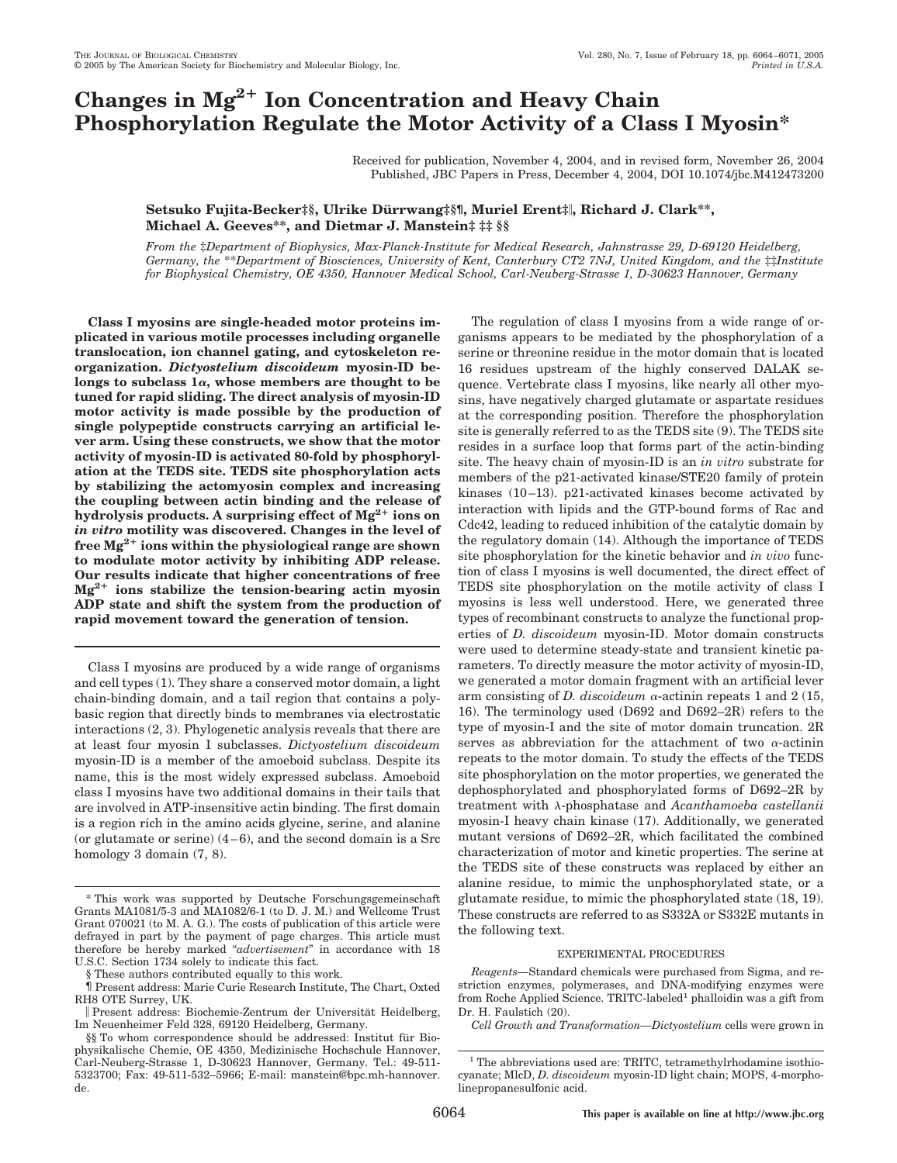# **Changes in Mg2 Ion Concentration and Heavy Chain Phosphorylation Regulate the Motor Activity of a Class I Myosin\***

Received for publication, November 4, 2004, and in revised form, November 26, 2004 Published, JBC Papers in Press, December 4, 2004, DOI 10.1074/jbc.M412473200

# **Setsuko Fujita-Becker‡§, Ulrike Du¨ rrwang‡§¶, Muriel Erent‡, Richard J. Clark\*\*, Michael A. Geeves\*\*, and Dietmar J. Manstein‡ ‡‡ §§**

*From the* ‡*Department of Biophysics, Max-Planck-Institute for Medical Research, Jahnstrasse 29, D-69120 Heidelberg, Germany, the* \*\**Department of Biosciences, University of Kent, Canterbury CT2 7NJ, United Kingdom, and the* ‡‡*Institute for Biophysical Chemistry, OE 4350, Hannover Medical School, Carl-Neuberg-Strasse 1, D-30623 Hannover, Germany*

**Class I myosins are single-headed motor proteins implicated in various motile processes including organelle translocation, ion channel gating, and cytoskeleton reorganization.** *Dictyostelium discoideum* **myosin-ID be**longs to subclass 1α, whose members are thought to be **tuned for rapid sliding. The direct analysis of myosin-ID motor activity is made possible by the production of single polypeptide constructs carrying an artificial lever arm. Using these constructs, we show that the motor activity of myosin-ID is activated 80-fold by phosphorylation at the TEDS site. TEDS site phosphorylation acts by stabilizing the actomyosin complex and increasing the coupling between actin binding and the release of** hydrolysis products. A surprising effect of  $Mg^{2+}$  ions on *in vitro* **motility was discovered. Changes in the level of free Mg2 ions within the physiological range are shown to modulate motor activity by inhibiting ADP release. Our results indicate that higher concentrations of free**  $Mg^{2+}$  ions stabilize the tension-bearing actin myosin **ADP state and shift the system from the production of rapid movement toward the generation of tension.**

Class I myosins are produced by a wide range of organisms and cell types (1). They share a conserved motor domain, a light chain-binding domain, and a tail region that contains a polybasic region that directly binds to membranes via electrostatic interactions (2, 3). Phylogenetic analysis reveals that there are at least four myosin I subclasses. *Dictyostelium discoideum* myosin-ID is a member of the amoeboid subclass. Despite its name, this is the most widely expressed subclass. Amoeboid class I myosins have two additional domains in their tails that are involved in ATP-insensitive actin binding. The first domain is a region rich in the amino acids glycine, serine, and alanine (or glutamate or serine)  $(4-6)$ , and the second domain is a Src homology 3 domain  $(7, 8)$ .

The regulation of class I myosins from a wide range of organisms appears to be mediated by the phosphorylation of a serine or threonine residue in the motor domain that is located 16 residues upstream of the highly conserved DALAK sequence. Vertebrate class I myosins, like nearly all other myosins, have negatively charged glutamate or aspartate residues at the corresponding position. Therefore the phosphorylation site is generally referred to as the TEDS site (9). The TEDS site resides in a surface loop that forms part of the actin-binding site. The heavy chain of myosin-ID is an *in vitro* substrate for members of the p21-activated kinase/STE20 family of protein kinases  $(10-13)$ . p21-activated kinases become activated by interaction with lipids and the GTP-bound forms of Rac and Cdc42, leading to reduced inhibition of the catalytic domain by the regulatory domain (14). Although the importance of TEDS site phosphorylation for the kinetic behavior and *in vivo* function of class I myosins is well documented, the direct effect of TEDS site phosphorylation on the motile activity of class I myosins is less well understood. Here, we generated three types of recombinant constructs to analyze the functional properties of *D. discoideum* myosin-ID. Motor domain constructs were used to determine steady-state and transient kinetic parameters. To directly measure the motor activity of myosin-ID, we generated a motor domain fragment with an artificial lever arm consisting of *D. discoideum*  $\alpha$ -actinin repeats 1 and 2 (15, 16). The terminology used (D692 and D692–2R) refers to the type of myosin-I and the site of motor domain truncation. 2R serves as abbreviation for the attachment of two  $\alpha$ -actinin repeats to the motor domain. To study the effects of the TEDS site phosphorylation on the motor properties, we generated the dephosphorylated and phosphorylated forms of D692–2R by treatment with  $\lambda$ -phosphatase and *Acanthamoeba castellanii* myosin-I heavy chain kinase (17). Additionally, we generated mutant versions of D692–2R, which facilitated the combined characterization of motor and kinetic properties. The serine at the TEDS site of these constructs was replaced by either an alanine residue, to mimic the unphosphorylated state, or a glutamate residue, to mimic the phosphorylated state (18, 19). These constructs are referred to as S332A or S332E mutants in the following text.

## EXPERIMENTAL PROCEDURES

*Cell Growth and Transformation—Dictyostelium* cells were grown in

<sup>\*</sup> This work was supported by Deutsche Forschungsgemeinschaft Grants MA1081/5-3 and MA1082/6-1 (to D. J. M.) and Wellcome Trust Grant 070021 (to M. A. G.). The costs of publication of this article were defrayed in part by the payment of page charges. This article must therefore be hereby marked "*advertisement*" in accordance with 18 U.S.C. Section 1734 solely to indicate this fact.

<sup>§</sup> These authors contributed equally to this work.

<sup>¶</sup> Present address: Marie Curie Research Institute, The Chart, Oxted RH8 OTE Surrey, UK.

Present address: Biochemie-Zentrum der Universität Heidelberg, Im Neuenheimer Feld 328, 69120 Heidelberg, Germany.

<sup>§§</sup> To whom correspondence should be addressed: Institut für Biophysikalische Chemie, OE 4350, Medizinische Hochschule Hannover, Carl-Neuberg-Strasse 1, D-30623 Hannover, Germany. Tel.: 49-511- 5323700; Fax: 49-511-532–5966; E-mail: manstein@bpc.mh-hannover. de.

*Reagents—*Standard chemicals were purchased from Sigma, and restriction enzymes, polymerases, and DNA-modifying enzymes were from Roche Applied Science. TRITC-labeled<sup>1</sup> phalloidin was a gift from Dr. H. Faulstich (20).

<sup>&</sup>lt;sup>1</sup> The abbreviations used are: TRITC, tetramethylrhodamine isothiocyanate; MlcD, *D. discoideum* myosin-ID light chain; MOPS, 4-morpholinepropanesulfonic acid.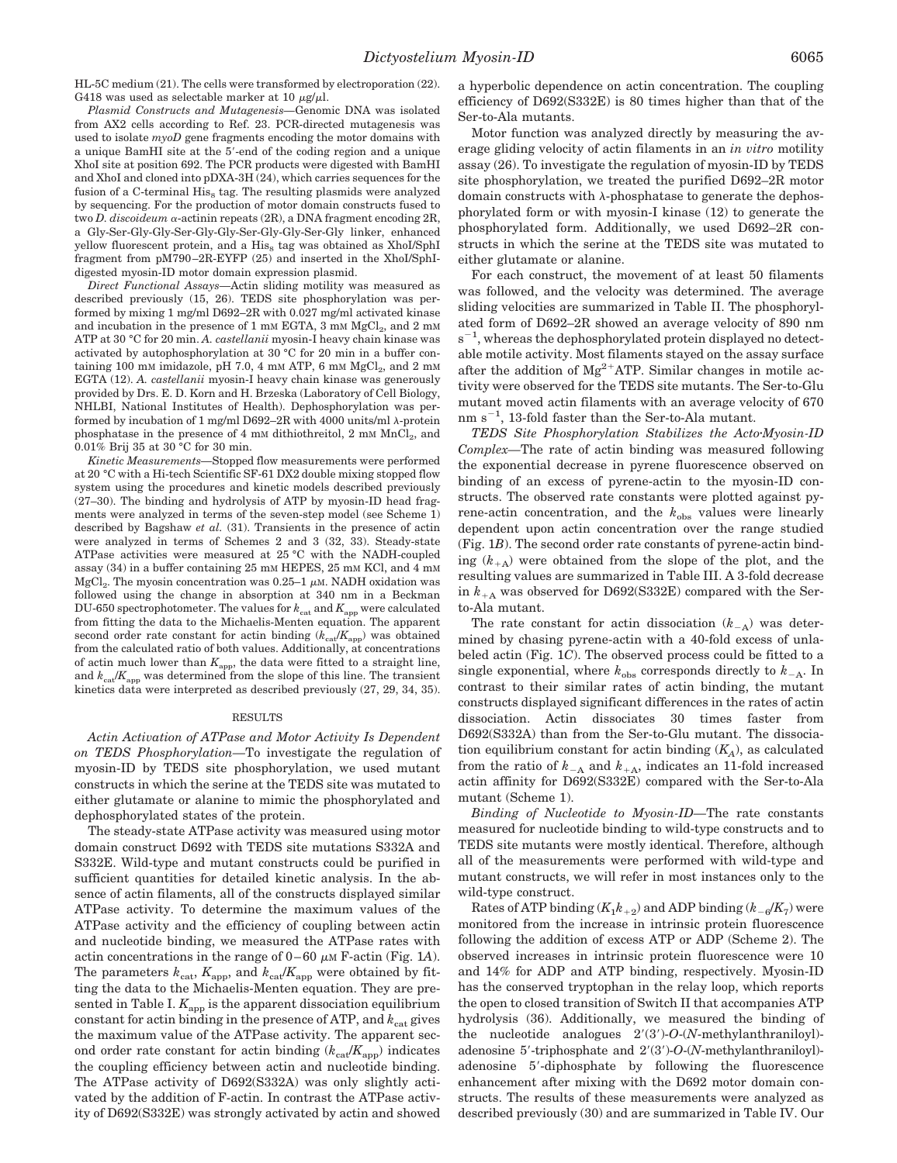HL-5C medium (21). The cells were transformed by electroporation (22). G418 was used as selectable marker at 10  $\mu$ g/ $\mu$ l.

*Plasmid Constructs and Mutagenesis—*Genomic DNA was isolated from AX2 cells according to Ref. 23. PCR-directed mutagenesis was used to isolate *myoD* gene fragments encoding the motor domains with a unique BamHI site at the 5-end of the coding region and a unique XhoI site at position 692. The PCR products were digested with BamHI and XhoI and cloned into pDXA-3H (24), which carries sequences for the fusion of a C-terminal  $His<sub>8</sub>$  tag. The resulting plasmids were analyzed by sequencing. For the production of motor domain constructs fused to two *D. discoideum*  $\alpha$ -actinin repeats (2R), a DNA fragment encoding 2R, a Gly-Ser-Gly-Gly-Ser-Gly-Gly-Ser-Gly-Gly-Ser-Gly linker, enhanced yellow fluorescent protein, and a  $\mathrm{His}_8$  tag was obtained as XhoI/SphI fragment from pM790 –2R-EYFP (25) and inserted in the XhoI/SphIdigested myosin-ID motor domain expression plasmid.

*Direct Functional Assays—*Actin sliding motility was measured as described previously (15, 26). TEDS site phosphorylation was performed by mixing 1 mg/ml D692–2R with 0.027 mg/ml activated kinase and incubation in the presence of  $1 \text{ mm } EGTA$ ,  $3 \text{ mm } MgCl<sub>2</sub>$ , and  $2 \text{ mm }$ ATP at 30 °C for 20 min. *A. castellanii* myosin-I heavy chain kinase was activated by autophosphorylation at 30 °C for 20 min in a buffer containing 100 mm imidazole, pH 7.0, 4 mm ATP, 6 mm  $MgCl<sub>2</sub>$ , and 2 mm EGTA (12). *A. castellanii* myosin-I heavy chain kinase was generously provided by Drs. E. D. Korn and H. Brzeska (Laboratory of Cell Biology, NHLBI, National Institutes of Health). Dephosphorylation was performed by incubation of 1 mg/ml D692–2R with 4000 units/ml  $\lambda$ -protein phosphatase in the presence of 4 mm dithiothreitol, 2 mm  $MnCl<sub>2</sub>$ , and 0.01% Brij 35 at 30 °C for 30 min.

*Kinetic Measurements—*Stopped flow measurements were performed at 20 °C with a Hi-tech Scientific SF-61 DX2 double mixing stopped flow system using the procedures and kinetic models described previously (27–30). The binding and hydrolysis of ATP by myosin-ID head fragments were analyzed in terms of the seven-step model (see Scheme 1) described by Bagshaw *et al.* (31). Transients in the presence of actin were analyzed in terms of Schemes 2 and 3 (32, 33). Steady-state ATPase activities were measured at 25 °C with the NADH-coupled assay (34) in a buffer containing 25 mM HEPES, 25 mM KCl, and 4 mM MgCl<sub>2</sub>. The myosin concentration was 0.25–1  $\mu$ M. NADH oxidation was followed using the change in absorption at 340 nm in a Beckman DU-650 spectrophotometer. The values for  $k_{\text{cat}}$  and  $K_{\text{app}}$  were calculated from fitting the data to the Michaelis-Menten equation. The apparent second order rate constant for actin binding  $(k_{\text{cat}}/K_{\text{app}})$  was obtained from the calculated ratio of both values. Additionally, at concentrations of actin much lower than  $K_{\text{app}}$ , the data were fitted to a straight line, and  $k_{\text{cat}}/K_{\text{app}}$  was determined from the slope of this line. The transient kinetics data were interpreted as described previously (27, 29, 34, 35).

## RESULTS

*Actin Activation of ATPase and Motor Activity Is Dependent on TEDS Phosphorylation—*To investigate the regulation of myosin-ID by TEDS site phosphorylation, we used mutant constructs in which the serine at the TEDS site was mutated to either glutamate or alanine to mimic the phosphorylated and dephosphorylated states of the protein.

The steady-state ATPase activity was measured using motor domain construct D692 with TEDS site mutations S332A and S332E. Wild-type and mutant constructs could be purified in sufficient quantities for detailed kinetic analysis. In the absence of actin filaments, all of the constructs displayed similar ATPase activity. To determine the maximum values of the ATPase activity and the efficiency of coupling between actin and nucleotide binding, we measured the ATPase rates with actin concentrations in the range of  $0-60 \mu M$  F-actin (Fig. 1A). The parameters  $k_{\text{cat}}$ ,  $K_{\text{app}}$ , and  $k_{\text{cat}}/K_{\text{app}}$  were obtained by fitting the data to the Michaelis-Menten equation. They are presented in Table I.  $K_{\text{app}}$  is the apparent dissociation equilibrium constant for actin binding in the presence of ATP, and  $k_{\text{cat}}$  gives the maximum value of the ATPase activity. The apparent second order rate constant for actin binding  $(k_{cat}/K_{\text{app}})$  indicates the coupling efficiency between actin and nucleotide binding. The ATPase activity of D692(S332A) was only slightly activated by the addition of F-actin. In contrast the ATPase activity of D692(S332E) was strongly activated by actin and showed

a hyperbolic dependence on actin concentration. The coupling efficiency of D692(S332E) is 80 times higher than that of the Ser-to-Ala mutants.

Motor function was analyzed directly by measuring the average gliding velocity of actin filaments in an *in vitro* motility assay (26). To investigate the regulation of myosin-ID by TEDS site phosphorylation, we treated the purified D692–2R motor domain constructs with  $\lambda$ -phosphatase to generate the dephosphorylated form or with myosin-I kinase (12) to generate the phosphorylated form. Additionally, we used D692–2R constructs in which the serine at the TEDS site was mutated to either glutamate or alanine.

For each construct, the movement of at least 50 filaments was followed, and the velocity was determined. The average sliding velocities are summarized in Table II. The phosphorylated form of D692–2R showed an average velocity of 890 nm  $s^{-1}$ , whereas the dephosphorylated protein displayed no detectable motile activity. Most filaments stayed on the assay surface after the addition of  $Mg^{2+}ATP$ . Similar changes in motile activity were observed for the TEDS site mutants. The Ser-to-Glu mutant moved actin filaments with an average velocity of 670  $nm s^{-1}$ , 13-fold faster than the Ser-to-Ala mutant.

*TEDS Site Phosphorylation Stabilizes the ActoMyosin-ID Complex—*The rate of actin binding was measured following the exponential decrease in pyrene fluorescence observed on binding of an excess of pyrene-actin to the myosin-ID constructs. The observed rate constants were plotted against pyrene-actin concentration, and the  $k_{obs}$  values were linearly dependent upon actin concentration over the range studied (Fig. 1*B*). The second order rate constants of pyrene-actin binding  $(k_{\perp}A)$  were obtained from the slope of the plot, and the resulting values are summarized in Table III. A 3-fold decrease in  $k_{+A}$  was observed for D692(S332E) compared with the Serto-Ala mutant.

The rate constant for actin dissociation (*k*-A) was determined by chasing pyrene-actin with a 40-fold excess of unlabeled actin (Fig. 1*C*). The observed process could be fitted to a single exponential, where  $k_{\text{obs}}$  corresponds directly to  $k_{-\mathbf{A}}$ . In contrast to their similar rates of actin binding, the mutant constructs displayed significant differences in the rates of actin dissociation. Actin dissociates 30 times faster from D692(S332A) than from the Ser-to-Glu mutant. The dissociation equilibrium constant for actin binding (*KA*), as calculated from the ratio of  $k_{-A}$  and  $k_{+A}$ , indicates an 11-fold increased actin affinity for D692(S332E) compared with the Ser-to-Ala mutant (Scheme 1).

*Binding of Nucleotide to Myosin-ID—*The rate constants measured for nucleotide binding to wild-type constructs and to TEDS site mutants were mostly identical. Therefore, although all of the measurements were performed with wild-type and mutant constructs, we will refer in most instances only to the wild-type construct.

 $\operatorname{Rates}$  of ATP binding  $(K_1k_{+2})$  and ADP binding  $(k_{-6}/K_7)$  were monitored from the increase in intrinsic protein fluorescence following the addition of excess ATP or ADP (Scheme 2). The observed increases in intrinsic protein fluorescence were 10 and 14% for ADP and ATP binding, respectively. Myosin-ID has the conserved tryptophan in the relay loop, which reports the open to closed transition of Switch II that accompanies ATP hydrolysis (36). Additionally, we measured the binding of the nucleotide analogues  $2'(3')$ -O-(*N*-methylanthraniloyl)adenosine 5'-triphosphate and 2'(3')-O-(*N*-methylanthraniloyl)adenosine 5-diphosphate by following the fluorescence enhancement after mixing with the D692 motor domain constructs. The results of these measurements were analyzed as described previously (30) and are summarized in Table IV. Our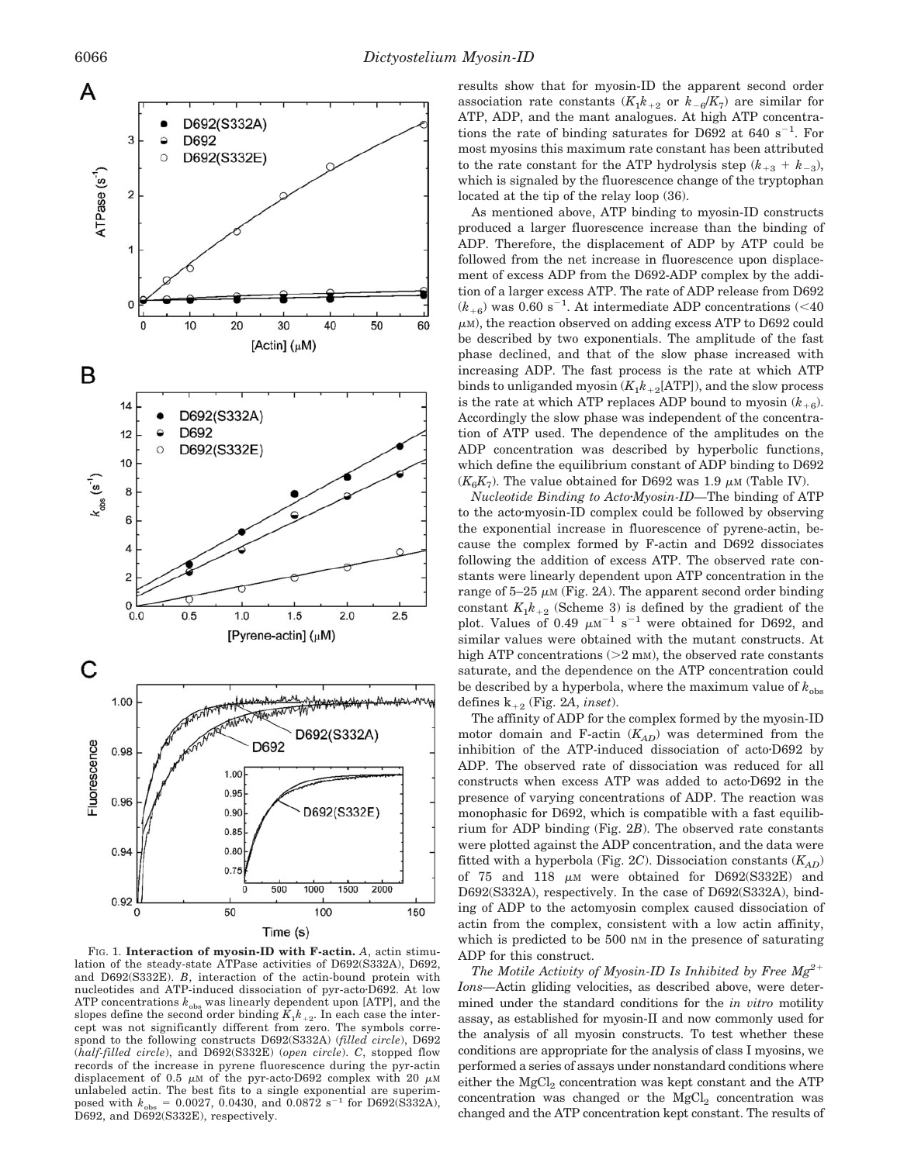

Time (s)

FIG. 1. **Interaction of myosin-ID with F-actin.** *A*, actin stimulation of the steady-state ATPase activities of D692(S332A), D692, and D692(S332E). *B*, interaction of the actin-bound protein with nucleotides and ATP-induced dissociation of pyr-acto<sup>D692</sup>. At low ATP concentrations  $k_{obs}$  was linearly dependent upon [ATP], and the slopes define the second order binding  $K_1 k_{+2}$ . In each case the intercept was not significantly different from zero. The symbols correspond to the following constructs D692(S332A) (*filled circle*), D692 (*half-filled circle*), and D692(S332E) (*open circle*). *C*, stopped flow records of the increase in pyrene fluorescence during the pyr-actin displacement of 0.5  $\mu$ M of the pyr-acto-D692 complex with 20  $\mu$ M unlabeled actin. The best fits to a single exponential are superimposed with  $k_{obs} = 0.0027, 0.0430,$  and  $0.0872$  s<sup>-1</sup> for D692(S332A), D692, and D692(S332E), respectively.

results show that for myosin-ID the apparent second order association rate constants  $(K_1k_{+2}$  or  $k_{-6}/K_7$ ) are similar for ATP, ADP, and the mant analogues. At high ATP concentrations the rate of binding saturates for D692 at  $640 \text{ s}^{-1}$ . For most myosins this maximum rate constant has been attributed to the rate constant for the ATP hydrolysis step  $(k_{+3} + k_{-3})$ , which is signaled by the fluorescence change of the tryptophan located at the tip of the relay loop (36).

As mentioned above, ATP binding to myosin-ID constructs produced a larger fluorescence increase than the binding of ADP. Therefore, the displacement of ADP by ATP could be followed from the net increase in fluorescence upon displacement of excess ADP from the D692-ADP complex by the addition of a larger excess ATP. The rate of ADP release from D692  $(k_{+6})$  was 0.60 s<sup>-1</sup>. At intermediate ADP concentrations (<40)  $\mu$ M), the reaction observed on adding excess ATP to D692 could be described by two exponentials. The amplitude of the fast phase declined, and that of the slow phase increased with increasing ADP. The fast process is the rate at which ATP binds to unliganded myosin  $(K_1k_{+2}[ATP])$ , and the slow process is the rate at which ATP replaces ADP bound to myosin  $(k_{+6})$ . Accordingly the slow phase was independent of the concentration of ATP used. The dependence of the amplitudes on the ADP concentration was described by hyperbolic functions, which define the equilibrium constant of ADP binding to D692  $(K_{\alpha}K_{7})$ . The value obtained for D692 was 1.9  $\mu$ M (Table IV).

*Nucleotide Binding to ActoMyosin-ID—*The binding of ATP to the actomyosin-ID complex could be followed by observing the exponential increase in fluorescence of pyrene-actin, because the complex formed by F-actin and D692 dissociates following the addition of excess ATP. The observed rate constants were linearly dependent upon ATP concentration in the range of  $5-25 \mu M$  (Fig. 2A). The apparent second order binding constant  $K_1 k_{+2}$  (Scheme 3) is defined by the gradient of the plot. Values of 0.49  $\mu$ M<sup>-1</sup> s<sup>-1</sup> were obtained for D692, and similar values were obtained with the mutant constructs. At high ATP concentrations  $(2 m)$ , the observed rate constants saturate, and the dependence on the ATP concentration could be described by a hyperbola, where the maximum value of  $k_{obs}$ defines  $k_{+2}$  (Fig. 2*A*, *inset*).

The affinity of ADP for the complex formed by the myosin-ID motor domain and F-actin (*KAD*) was determined from the inhibition of the ATP-induced dissociation of acto<sup>D692</sup> by ADP. The observed rate of dissociation was reduced for all constructs when excess ATP was added to acto<sup>D692</sup> in the presence of varying concentrations of ADP. The reaction was monophasic for D692, which is compatible with a fast equilibrium for ADP binding (Fig. 2*B*). The observed rate constants were plotted against the ADP concentration, and the data were fitted with a hyperbola (Fig. 2C). Dissociation constants  $(K_{AD})$ of 75 and 118  $\mu$ M were obtained for D692(S332E) and D692(S332A), respectively. In the case of D692(S332A), binding of ADP to the actomyosin complex caused dissociation of actin from the complex, consistent with a low actin affinity, which is predicted to be 500 nm in the presence of saturating ADP for this construct.

*The Motile Activity of Myosin-ID Is Inhibited by Free Mg2 Ions—*Actin gliding velocities, as described above, were determined under the standard conditions for the *in vitro* motility assay, as established for myosin-II and now commonly used for the analysis of all myosin constructs. To test whether these conditions are appropriate for the analysis of class I myosins, we performed a series of assays under nonstandard conditions where either the  $MgCl<sub>2</sub>$  concentration was kept constant and the ATP concentration was changed or the MgCl<sub>2</sub> concentration was changed and the ATP concentration kept constant. The results of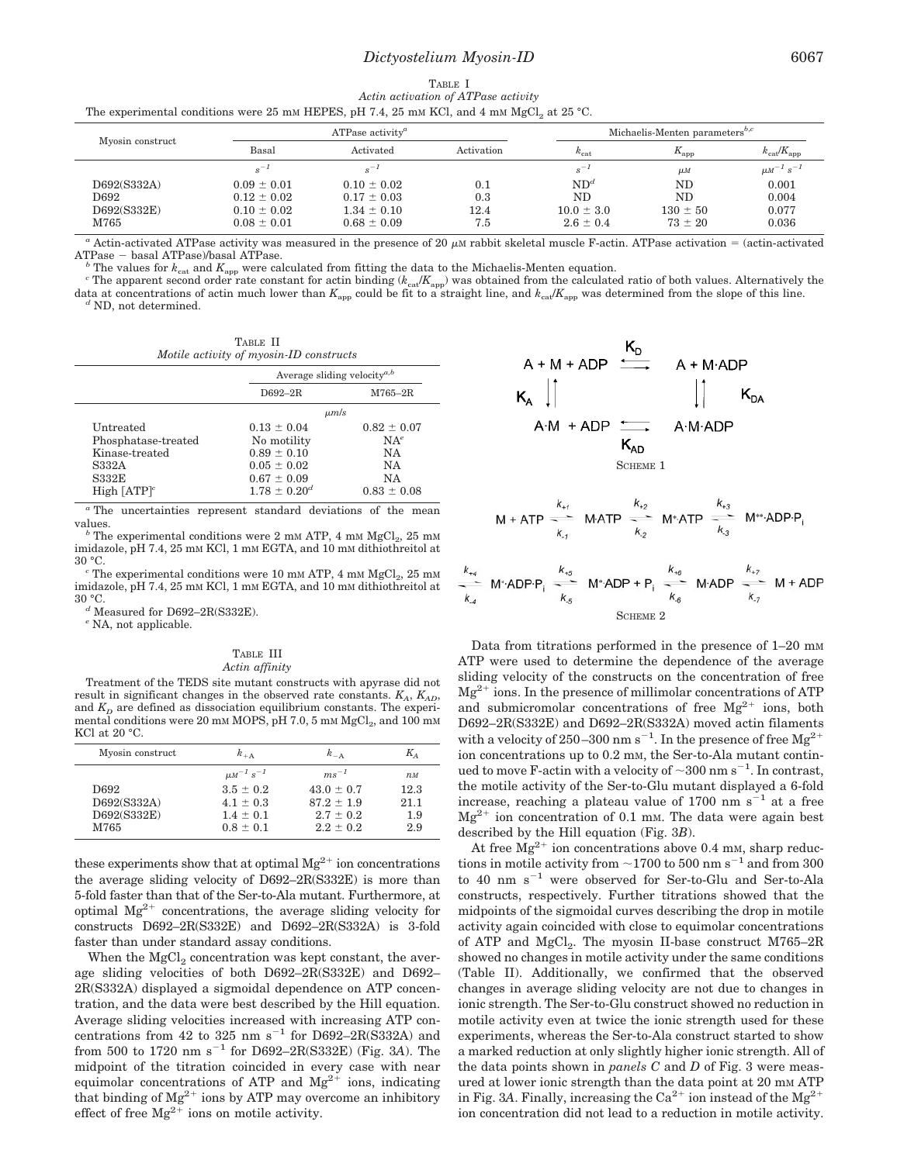# *Dictyostelium Myosin-ID* 6067

| TABLE 1                                                                                   |  |
|-------------------------------------------------------------------------------------------|--|
| Actin activation of ATPase activity                                                       |  |
| The experimental conditions were 25 mm HEPES, pH 7.4, 25 mm KCl, and 4 mm MgCl, at 25 °C. |  |
|                                                                                           |  |

| Myosin construct    | ATPase activity <sup><math>a</math></sup> |                                    |             | Michaelis-Menten parameters <sup>b,<math>c</math></sup> |                             |                                 |
|---------------------|-------------------------------------------|------------------------------------|-------------|---------------------------------------------------------|-----------------------------|---------------------------------|
|                     | Basal                                     | Activated                          | Activation  | $k_{\text{cat}}$                                        | $K_{\rm app}$               | $k_{\text{cat}}/K_{\text{app}}$ |
|                     | $s^{-1}$                                  |                                    |             | $s^{-1}$                                                | $\mu$ <sub>M</sub>          | $\mu M^{-1} s^{-1}$             |
| D692(S332A)         | $0.09 \pm 0.01$                           | $0.10 \pm 0.02$                    | 0.1         | ND <sup>d</sup>                                         | N <sub>D</sub>              | 0.001                           |
| D692                | $0.12 \pm 0.02$                           | $0.17 \pm 0.03$                    | 0.3         | ND                                                      | ND                          | 0.004                           |
| D692(S332E)<br>M765 | $0.10 \pm 0.02$<br>$0.08 \pm 0.01$        | $1.34 \pm 0.10$<br>$0.68 \pm 0.09$ | 12.4<br>7.5 | $10.0 \pm 3.0$<br>$2.6 \pm 0.4$                         | $130 \pm 50$<br>$73 \pm 20$ | 0.077<br>0.036                  |

 $a$  Actin-activated ATPase activity was measured in the presence of 20  $\mu$ M rabbit skeletal muscle F-actin. ATPase activation = (actin-activated ATPase – basal ATPase)/basal ATPase.  $^b$  The values for  $k_{\rm cat}$  and  $K_{\rm app}$  were calculated from fitting the data to the Michaelis-Menten equation.

<sup>c</sup> The apparent second order rate constant for actin binding ( $k_{\text{cat}}/K_{\text{app}}$ ) was obtained from the calculated ratio of both values. Alternatively the data at concentrations of actin much lower than  $K_{\text{app}}$  could be fit to a straight line, and  $k_{\text{cat}}/K_{\text{app}}$  was determined from the slope of this line. *d* ND, not determined.

|                                         | TABLE II |  |
|-----------------------------------------|----------|--|
| Motile activity of myosin-ID constructs |          |  |

|                     |                     | Average sliding velocity <sup><i>a</i>,<i>b</i></sup> |  |  |
|---------------------|---------------------|-------------------------------------------------------|--|--|
|                     | D692-2R             | $M765-2R$                                             |  |  |
|                     | $\mu$ m/s           |                                                       |  |  |
| Untreated           | $0.13 \pm 0.04$     | $0.82 \pm 0.07$                                       |  |  |
| Phosphatase-treated | No motility         | $NA^e$                                                |  |  |
| Kinase-treated      | $0.89 \pm 0.10$     | <b>NA</b>                                             |  |  |
| S332A               | $0.05 \pm 0.02$     | NA                                                    |  |  |
| <b>S332E</b>        | $0.67 \pm 0.09$     | <b>NA</b>                                             |  |  |
| High $[ATP]^\circ$  | $1.78 \pm 0.20^{d}$ | $0.83 \pm 0.08$                                       |  |  |

*<sup>a</sup>* The uncertainties represent standard deviations of the mean

 $b$  The experimental conditions were 2 mm ATP, 4 mm MgCl<sub>2</sub>, 25 mm imidazole, pH 7.4, 25 mm KCl, 1 mm EGTA, and 10 mm dithiothreitol at 30  $^{\circ}{\rm C}.$ 

 $\degree$  The experimental conditions were 10 mm ATP, 4 mm MgCl<sub>2</sub>, 25 mm imidazole, pH 7.4, 25 mM KCl, 1 mM EGTA, and 10 mM dithiothreitol at 30 °C. *<sup>d</sup>* Measured for D692–2R(S332E).

*<sup>e</sup>* NA, not applicable.

#### TABLE III *Actin affinity*

Treatment of the TEDS site mutant constructs with apyrase did not result in significant changes in the observed rate constants.  $K_A$ ,  $K_{AD}$ , and  $K_D$  are defined as dissociation equilibrium constants. The experimental conditions were 20 mm MOPS, pH 7.0, 5 mm  $MgCl<sub>2</sub>$ , and 100 mm KCl at 20 °C.

| Myosin construct | $k_{+A}$            | $k_{-A}$       | $K_A$ |
|------------------|---------------------|----------------|-------|
|                  | $\mu M^{-1} s^{-1}$ | $ms^{-1}$      | $n_M$ |
| D692             | $3.5 \pm 0.2$       | $43.0 \pm 0.7$ | 12.3  |
| D692(S332A)      | $4.1 \pm 0.3$       | $87.2 + 1.9$   | 21.1  |
| D692(S332E)      | $1.4 \pm 0.1$       | $2.7 + 0.2$    | 1.9   |
| M765             | $0.8 \pm 0.1$       | $2.2 + 0.2$    | 2.9   |

these experiments show that at optimal  ${ {\rm Mg} ^{2+}}$  ion concentrations the average sliding velocity of D692–2R(S332E) is more than 5-fold faster than that of the Ser-to-Ala mutant. Furthermore, at optimal  $Mg^{2+}$  concentrations, the average sliding velocity for constructs D692–2R(S332E) and D692–2R(S332A) is 3-fold faster than under standard assay conditions.

When the  $MgCl<sub>2</sub>$  concentration was kept constant, the average sliding velocities of both D692–2R(S332E) and D692– 2R(S332A) displayed a sigmoidal dependence on ATP concentration, and the data were best described by the Hill equation. Average sliding velocities increased with increasing ATP concentrations from 42 to 325 nm  $s^{-1}$  for D692-2R(S332A) and from 500 to  $1720 \text{ nm s}^{-1}$  for D692–2R(S332E) (Fig. 3A). The midpoint of the titration coincided in every case with near equimolar concentrations of ATP and  $Mg^{2+}$  ions, indicating that binding of  $Mg^{2+}$  ions by ATP may overcome an inhibitory effect of free  $Mg^{2+}$  ions on motile activity.



$$
M + ATP \xrightarrow[k, t]{k_{+1}} \text{M-ATP} \xrightarrow[k, t]{k_{+2}} M^*ATP \xrightarrow[k, t]{k_{+3}} M^{**}ADPP_i
$$

SCHEME 2

Data from titrations performed in the presence of  $1-20$  mm ATP were used to determine the dependence of the average sliding velocity of the constructs on the concentration of free  $Mg^{2+}$  ions. In the presence of millimolar concentrations of ATP and submicromolar concentrations of free  $Mg^{2+}$  ions, both D692–2R(S332E) and D692–2R(S332A) moved actin filaments with a velocity of 250–300 nm s<sup>-1</sup>. In the presence of free  $Mg^{2+}$ ion concentrations up to 0.2 mM, the Ser-to-Ala mutant continued to move F-actin with a velocity of  $\sim$ 300 nm s<sup>-1</sup>. In contrast, the motile activity of the Ser-to-Glu mutant displayed a 6-fold increase, reaching a plateau value of  $1700$  nm s<sup>-1</sup> at a free  $Mg^{2+}$  ion concentration of 0.1 mm. The data were again best described by the Hill equation (Fig. 3*B*).

At free  $Mg^{2+}$  ion concentrations above 0.4 mm, sharp reductions in motile activity from  ${\sim}1700$  to  $500$  nm  ${\rm s}^{-1}$  and from  $300$ to 40 nm  $s^{-1}$  were observed for Ser-to-Glu and Ser-to-Ala constructs, respectively. Further titrations showed that the midpoints of the sigmoidal curves describing the drop in motile activity again coincided with close to equimolar concentrations of ATP and  $MgCl<sub>2</sub>$ . The myosin II-base construct M765–2R showed no changes in motile activity under the same conditions (Table II). Additionally, we confirmed that the observed changes in average sliding velocity are not due to changes in ionic strength. The Ser-to-Glu construct showed no reduction in motile activity even at twice the ionic strength used for these experiments, whereas the Ser-to-Ala construct started to show a marked reduction at only slightly higher ionic strength. All of the data points shown in *panels C* and *D* of Fig. 3 were measured at lower ionic strength than the data point at 20 mm ATP in Fig. 3A. Finally, increasing the  $Ca^{2+}$  ion instead of the  $Mg^{2+}$ ion concentration did not lead to a reduction in motile activity.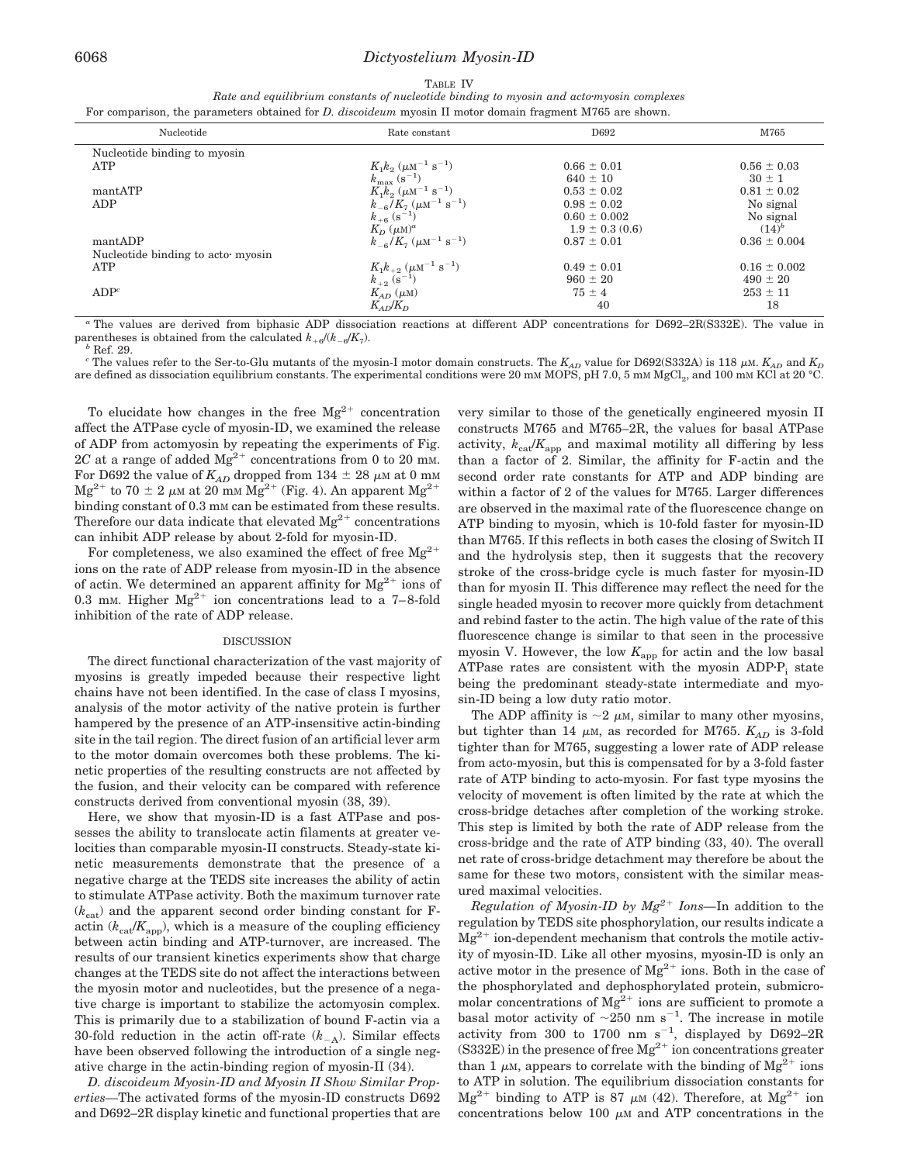| .,<br>,, |  |
|----------|--|
|----------|--|

*Rate and equilibrium constants of nucleotide binding to myosin and actomyosin complexes* For comparison, the parameters obtained for *D. discoideum* myosin II motor domain fragment M765 are shown.

| Nucleotide                        | Rate constant                                                                                         | D692                | M765             |
|-----------------------------------|-------------------------------------------------------------------------------------------------------|---------------------|------------------|
| Nucleotide binding to myosin      |                                                                                                       |                     |                  |
| <b>ATP</b>                        | $K_1k_2$ ( $\mu$ M <sup>-1</sup> s <sup>-1</sup> )                                                    | $0.66 \pm 0.01$     | $0.56 \pm 0.03$  |
|                                   | $k_{\rm max}$ (s <sup>-1</sup> )                                                                      | $640 \pm 10$        | $30 \pm 1$       |
| mantATP                           | $K_1 k_2$ ( $\mu$ M <sup>-1</sup> s <sup>-1</sup> )                                                   | $0.53 \pm 0.02$     | $0.81 \pm 0.02$  |
| ADP                               | $k_{-6}/K_7~(\mu\text{M}^{-1}~\text{s}^{-1})$                                                         | $0.98 \pm 0.02$     | No signal        |
|                                   | $k_{+6}$ $(\mathrm{s}^{-1})$                                                                          | $0.60 \pm 0.002$    | No signal        |
|                                   | $K_D$ $(\mu M)^a$                                                                                     | $1.9 \pm 0.3$ (0.6) | $(14)^{b}$       |
| mantADP                           | $k_{-6}/K_7~(\mu\text{M}^{-1}~\text{s}^{-1})$                                                         | $0.87 \pm 0.01$     | $0.36 \pm 0.004$ |
| Nucleotide binding to acto myosin |                                                                                                       |                     |                  |
| ATP                               | $\begin{array}{l} K_1 k_{+2} \ (\mu \rm{M}^{-1} \ \rm{s}^{-1}) \\ k_{+2} \ (\rm{s}^{-1}) \end{array}$ | $0.49 \pm 0.01$     | $0.16 \pm 0.002$ |
|                                   |                                                                                                       | $960 \pm 20$        | $490 \pm 20$     |
| ADP <sup>c</sup>                  | $K_{AD}$ ( $\mu$ M)                                                                                   | $75 \pm 4$          | $253 \pm 11$     |
|                                   | $K_{AD}/K_D$                                                                                          | 40                  | 18               |
|                                   |                                                                                                       |                     |                  |

*<sup>a</sup>* The values are derived from biphasic ADP dissociation reactions at different ADP concentrations for D692–2R(S332E). The value in parentheses is obtained from the calculated  $k_{+6}/(k_{-6}/K_7)$ .<br><sup>*b*</sup> Ref. 29.

<sup>c</sup> The values refer to the Ser-to-Glu mutants of the myosin-I motor domain constructs. The  $K_{AD}$  value for D692(S332A) is 118  $\mu$ M.  $K_{AD}$  and  $K_D$ are defined as dissociation equilibrium constants. The experimental conditions were 20 mm MOPS, pH 7.0, 5 mm MgCl<sub>2</sub>, and 100 mm KCl at 20 °C.

To elucidate how changes in the free  $Mg^{2+}$  concentration affect the ATPase cycle of myosin-ID, we examined the release of ADP from actomyosin by repeating the experiments of Fig. 2*C* at a range of added  $Mg^{2+}$  concentrations from 0 to 20 mm. For D692 the value of  $K_{AD}$  dropped from 134  $\pm$  28  $\mu$ M at 0 mM  $Mg^{2+}$  to 70  $\pm$  2  $\mu$ m at 20 mm  $Mg^{2+}$  (Fig. 4). An apparent  $Mg^{2+}$ binding constant of 0.3 mm can be estimated from these results. Therefore our data indicate that elevated  $Mg^{2+}$  concentrations can inhibit ADP release by about 2-fold for myosin-ID.

For completeness, we also examined the effect of free  $Mg^{2+}$ ions on the rate of ADP release from myosin-ID in the absence of actin. We determined an apparent affinity for  $Mg^{2+}$  ions of 0.3 mm. Higher  $Mg^{2+}$  ion concentrations lead to a 7-8-fold inhibition of the rate of ADP release.

## DISCUSSION

The direct functional characterization of the vast majority of myosins is greatly impeded because their respective light chains have not been identified. In the case of class I myosins, analysis of the motor activity of the native protein is further hampered by the presence of an ATP-insensitive actin-binding site in the tail region. The direct fusion of an artificial lever arm to the motor domain overcomes both these problems. The kinetic properties of the resulting constructs are not affected by the fusion, and their velocity can be compared with reference constructs derived from conventional myosin (38, 39).

Here, we show that myosin-ID is a fast ATPase and possesses the ability to translocate actin filaments at greater velocities than comparable myosin-II constructs. Steady-state kinetic measurements demonstrate that the presence of a negative charge at the TEDS site increases the ability of actin to stimulate ATPase activity. Both the maximum turnover rate  $(k<sub>cat</sub>)$  and the apparent second order binding constant for Factin  $(k_{\text{cat}}/K_{\text{app}})$ , which is a measure of the coupling efficiency between actin binding and ATP-turnover, are increased. The results of our transient kinetics experiments show that charge changes at the TEDS site do not affect the interactions between the myosin motor and nucleotides, but the presence of a negative charge is important to stabilize the actomyosin complex. This is primarily due to a stabilization of bound F-actin via a 30-fold reduction in the actin off-rate (*k*-A). Similar effects have been observed following the introduction of a single negative charge in the actin-binding region of myosin-II (34).

*D. discoideum Myosin-ID and Myosin II Show Similar Properties—*The activated forms of the myosin-ID constructs D692 and D692–2R display kinetic and functional properties that are very similar to those of the genetically engineered myosin II constructs M765 and M765–2R, the values for basal ATPase activity,  $k_{\text{cat}}/K_{\text{app}}$  and maximal motility all differing by less than a factor of 2. Similar, the affinity for F-actin and the second order rate constants for ATP and ADP binding are within a factor of 2 of the values for M765. Larger differences are observed in the maximal rate of the fluorescence change on ATP binding to myosin, which is 10-fold faster for myosin-ID than M765. If this reflects in both cases the closing of Switch II and the hydrolysis step, then it suggests that the recovery stroke of the cross-bridge cycle is much faster for myosin-ID than for myosin II. This difference may reflect the need for the single headed myosin to recover more quickly from detachment and rebind faster to the actin. The high value of the rate of this fluorescence change is similar to that seen in the processive myosin V. However, the low  $K_{\text{app}}$  for actin and the low basal ATPase rates are consistent with the myosin ADP $\cdot$ P<sub>i</sub> state being the predominant steady-state intermediate and myosin-ID being a low duty ratio motor.

The ADP affinity is  $\sim$ 2  $\mu$ M, similar to many other myosins, but tighter than 14  $\mu$ M, as recorded for M765.  $K_{AD}$  is 3-fold tighter than for M765, suggesting a lower rate of ADP release from acto-myosin, but this is compensated for by a 3-fold faster rate of ATP binding to acto-myosin. For fast type myosins the velocity of movement is often limited by the rate at which the cross-bridge detaches after completion of the working stroke. This step is limited by both the rate of ADP release from the cross-bridge and the rate of ATP binding (33, 40). The overall net rate of cross-bridge detachment may therefore be about the same for these two motors, consistent with the similar measured maximal velocities.

*Regulation of Myosin-ID by*  $Mg^{2+}$  *Ions*—In addition to the regulation by TEDS site phosphorylation, our results indicate a  $Mg^{2+}$  ion-dependent mechanism that controls the motile activity of myosin-ID. Like all other myosins, myosin-ID is only an active motor in the presence of  $Mg^{2+}$  ions. Both in the case of the phosphorylated and dephosphorylated protein, submicromolar concentrations of  $Mg^{2+}$  ions are sufficient to promote a basal motor activity of  $\sim$ 250 nm s<sup>-1</sup>. The increase in motile activity from 300 to 1700 nm  $s^{-1}$ , displayed by D692-2R  $(S332E)$  in the presence of free  $Mg^{2+}$  ion concentrations greater than 1  $\mu$ M, appears to correlate with the binding of Mg<sup>2+</sup> ions to ATP in solution. The equilibrium dissociation constants for  $Mg^{2+}$  binding to ATP is 87  $\mu$ M (42). Therefore, at  $Mg^{2+}$  ion concentrations below 100  $\mu$ M and ATP concentrations in the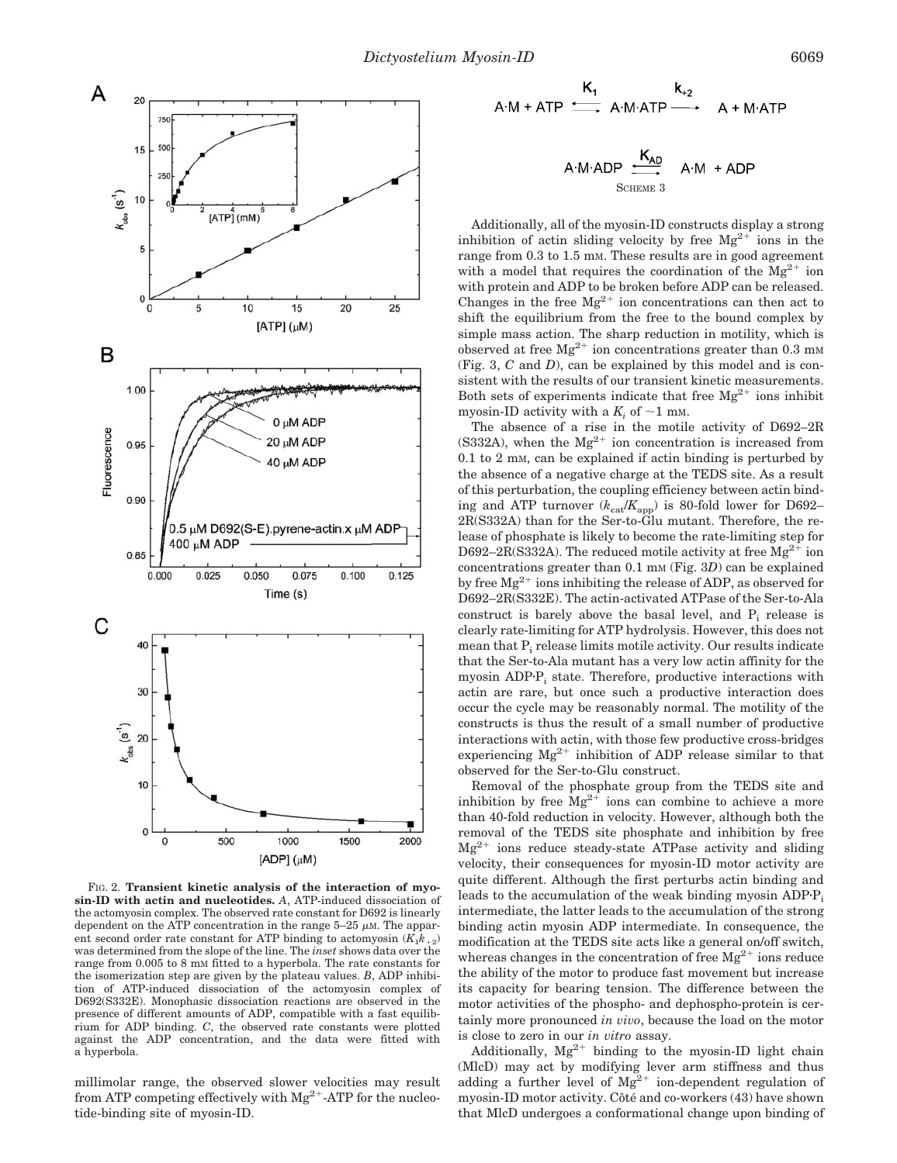

FIG. 2. **Transient kinetic analysis of the interaction of myosin-ID with actin and nucleotides.** *A*, ATP-induced dissociation of the actomyosin complex. The observed rate constant for D692 is linearly dependent on the ATP concentration in the range  $5-25 \mu M$ . The apparent second order rate constant for ATP binding to actomyosin  $(K_1 k_{+2})$ was determined from the slope of the line. The *inset* shows data over the range from 0.005 to 8 mM fitted to a hyperbola. The rate constants for the isomerization step are given by the plateau values. *B*, ADP inhibition of ATP-induced dissociation of the actomyosin complex of D692(S332E). Monophasic dissociation reactions are observed in the presence of different amounts of ADP, compatible with a fast equilibrium for ADP binding. *C*, the observed rate constants were plotted against the ADP concentration, and the data were fitted with a hyperbola.

millimolar range, the observed slower velocities may result from ATP competing effectively with  $Mg^{2+}$ -ATP for the nucleotide-binding site of myosin-ID.

$$
A \cdot M + ATP \xrightarrow{\mathsf{K}_{1}} A \cdot M \cdot ATP \xrightarrow{\mathsf{K}_{+2}} A + M \cdot ATP
$$

$$
A \cdot M \cdot ADP \xrightarrow{\mathbf{K}_{AD}} A \cdot M + ADP
$$
  
 
$$
S \text{CHEME} 3
$$

Additionally, all of the myosin-ID constructs display a strong inhibition of actin sliding velocity by free  $Mg^{2+}$  ions in the range from 0.3 to 1.5 mM. These results are in good agreement with a model that requires the coordination of the  $Mg^{2+}$  ion with protein and ADP to be broken before ADP can be released. Changes in the free  $Mg^{2+}$  ion concentrations can then act to shift the equilibrium from the free to the bound complex by simple mass action. The sharp reduction in motility, which is observed at free  $Mg^{2+}$  ion concentrations greater than 0.3 mm (Fig. 3, *C* and *D*), can be explained by this model and is consistent with the results of our transient kinetic measurements. Both sets of experiments indicate that free  $Mg^{2+}$  ions inhibit myosin-ID activity with a  $K_i$  of  $\sim$ 1 mm.

The absence of a rise in the motile activity of D692–2R (S332A), when the  $Mg^{2+}$  ion concentration is increased from 0.1 to 2 mM, can be explained if actin binding is perturbed by the absence of a negative charge at the TEDS site. As a result of this perturbation, the coupling efficiency between actin binding and ATP turnover  $(k_{\text{cat}}/K_{\text{app}})$  is 80-fold lower for D692– 2R(S332A) than for the Ser-to-Glu mutant. Therefore, the release of phosphate is likely to become the rate-limiting step for D692–2R(S332A). The reduced motile activity at free  $Mg^{2+}$  ion concentrations greater than 0.1 mm (Fig. 3*D*) can be explained by free  $Mg^{2+}$  ions inhibiting the release of ADP, as observed for D692–2R(S332E). The actin-activated ATPase of the Ser-to-Ala construct is barely above the basal level, and  $P_i$  release is clearly rate-limiting for ATP hydrolysis. However, this does not mean that P<sub>i</sub> release limits motile activity. Our results indicate that the Ser-to-Ala mutant has a very low actin affinity for the myosin ADP $\cdot$ P<sub>i</sub> state. Therefore, productive interactions with actin are rare, but once such a productive interaction does occur the cycle may be reasonably normal. The motility of the constructs is thus the result of a small number of productive interactions with actin, with those few productive cross-bridges experiencing  $Mg^{2+}$  inhibition of ADP release similar to that observed for the Ser-to-Glu construct.

Removal of the phosphate group from the TEDS site and inhibition by free  $\overline{M}g^{2+}$  ions can combine to achieve a more than 40-fold reduction in velocity. However, although both the removal of the TEDS site phosphate and inhibition by free  $Mg^{2+}$  ions reduce steady-state ATPase activity and sliding velocity, their consequences for myosin-ID motor activity are quite different. Although the first perturbs actin binding and leads to the accumulation of the weak binding myosin  $ADP\cdot P_i$ intermediate, the latter leads to the accumulation of the strong binding actin myosin ADP intermediate. In consequence, the modification at the TEDS site acts like a general on/off switch, whereas changes in the concentration of free  $Mg^{2+}$  ions reduce the ability of the motor to produce fast movement but increase its capacity for bearing tension. The difference between the motor activities of the phospho- and dephospho-protein is certainly more pronounced *in vivo*, because the load on the motor is close to zero in our *in vitro* assay.

Additionally,  $Mg^{2+}$  binding to the myosin-ID light chain (MlcD) may act by modifying lever arm stiffness and thus adding a further level of  $Mg^{2+}$  ion-dependent regulation of myosin-ID motor activity. Côté and co-workers (43) have shown that MlcD undergoes a conformational change upon binding of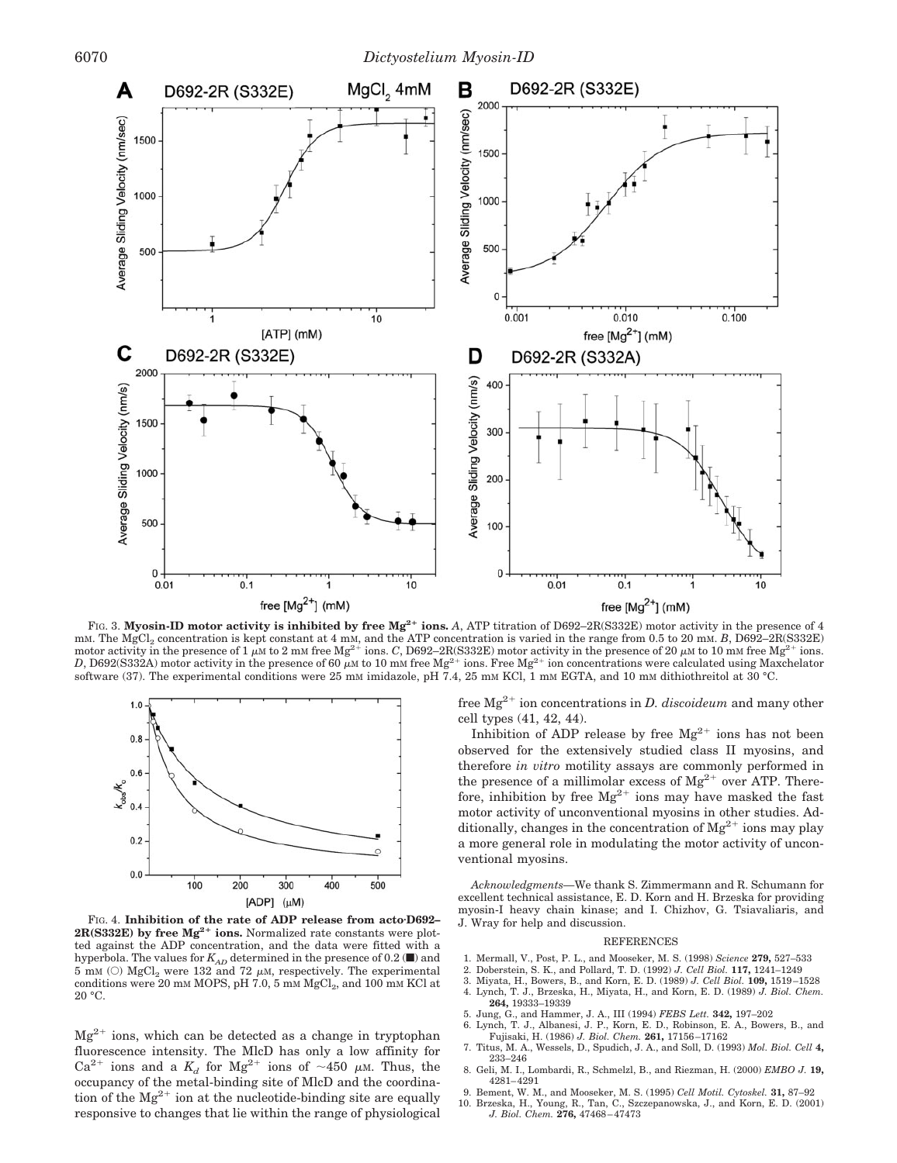

FIG. 3. Myosin-ID motor activity is inhibited by free Mg<sup>2+</sup> ions. A, ATP titration of D692–2R(S332E) motor activity in the presence of 4 mM. The MgCl<sub>2</sub> concentration is kept constant at 4 mM, and the ATP concentration is varied in the range from 0.5 to 20 mM. *B*, D692–2R(S332E)<br>motor activity in the presence of 1 µM to 2 mM free Mg<sup>2+</sup> ions. *C*, D692–2R *D*, D692(S332A) motor activity in the presence of 60  $\mu$ m to 10 mm free Mg<sup>2+</sup> ions. Free Mg<sup>2+</sup> ion concentrations were calculated using Maxchelator software (37). The experimental conditions were 25 mM imidazole, pH 7.4, 25 mM KCl, 1 mM EGTA, and 10 mM dithiothreitol at 30 °C.



FIG. 4. **Inhibition of the rate of ADP release from actoD692– 2R(S332E)** by free Mg<sup>2+</sup> ions. Normalized rate constants were plotted against the ADP concentration, and the data were fitted with a hyperbola. The values for  $K_{AD}$  determined in the presence of 0.2 ( $\blacksquare$ ) and  $5$  mM  $\left(\odot\right)$  MgCl $_{2}$  were 132 and 72  $\mu$ M, respectively. The experimental conditions were 20 mM MOPS, pH 7.0, 5 mM  $MgCl<sub>2</sub>$ , and 100 mM KCl at  $20 °C$ .

 $Mg^{2+}$  ions, which can be detected as a change in tryptophan fluorescence intensity. The MlcD has only a low affinity for  $Ca^{2+}$  ions and a  $K_d$  for Mg<sup>2+</sup> ions of ~450  $\mu$ M. Thus, the occupancy of the metal-binding site of MlcD and the coordination of the  $Mg^{2+}$  ion at the nucleotide-binding site are equally responsive to changes that lie within the range of physiological free Mg<sup>2+</sup> ion concentrations in *D. discoideum* and many other cell types (41, 42, 44).

Inhibition of ADP release by free  $Mg^{2+}$  ions has not been observed for the extensively studied class II myosins, and therefore *in vitro* motility assays are commonly performed in the presence of a millimolar excess of  $Mg^{2+}$  over ATP. Therefore, inhibition by free  $Mg^{2+}$  ions may have masked the fast motor activity of unconventional myosins in other studies. Additionally, changes in the concentration of  $Mg^{2+}$  ions may play a more general role in modulating the motor activity of unconventional myosins.

*Acknowledgments—*We thank S. Zimmermann and R. Schumann for excellent technical assistance, E. D. Korn and H. Brzeska for providing myosin-I heavy chain kinase; and I. Chizhov, G. Tsiavaliaris, and J. Wray for help and discussion.

#### REFERENCES

- 1. Mermall, V., Post, P. L., and Mooseker, M. S. (1998) *Science* **279,** 527–533
- 2. Doberstein, S. K., and Pollard, T. D. (1992) *J. Cell Biol.* **117,** 1241–1249
- 3. Miyata, H., Bowers, B., and Korn, E. D. (1989) *J. Cell Biol.* **109,** 1519 –1528 4. Lynch, T. J., Brzeska, H., Miyata, H., and Korn, E. D. (1989) *J. Biol. Chem.* **264,** 19333–19339
- 
- 5. Jung, G., and Hammer, J. A., III (1994) FEBS Lett. **342,** 197–202<br>6. Lynch, T. J., Albanesi, J. P., Korn, E. D., Robinson, E. A., Bowers, B., and<br>Fujisaki, H. (1986) *J. Biol. Chem.* **261,** 17156–17162
- 7. Titus, M. A., Wessels, D., Spudich, J. A., and Soll, D. (1993) *Mol. Biol. Cell* **4,** 233–246
- 8. Geli, M. I., Lombardi, R., Schmelzl, B., and Riezman, H. (2000) *EMBO J.* **19,** 4281– 4291
- 9. Bement, W. M., and Mooseker, M. S. (1995) *Cell Motil. Cytoskel.* **31,** 87–92
- 10. Brzeska, H., Young, R., Tan, C., Szczepanowska, J., and Korn, E. D. (2001) *J. Biol. Chem.* **276,** 47468 47473